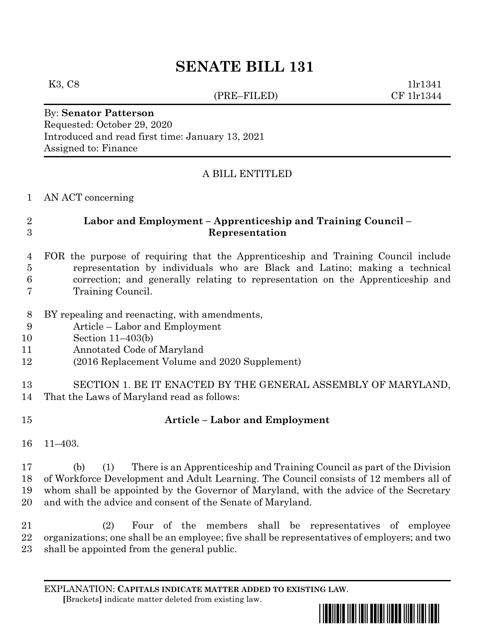# **SENATE BILL 131**

(PRE–FILED) CF 1lr1344

K3, C8 1lr1341

### By: **Senator Patterson** Requested: October 29, 2020 Introduced and read first time: January 13, 2021 Assigned to: Finance

# A BILL ENTITLED

### AN ACT concerning

# **Labor and Employment – Apprenticeship and Training Council – Representation**

 FOR the purpose of requiring that the Apprenticeship and Training Council include representation by individuals who are Black and Latino; making a technical correction; and generally relating to representation on the Apprenticeship and Training Council.

- BY repealing and reenacting, with amendments,
- Article Labor and Employment
- Section 11–403(b)
- Annotated Code of Maryland
- (2016 Replacement Volume and 2020 Supplement)

# SECTION 1. BE IT ENACTED BY THE GENERAL ASSEMBLY OF MARYLAND, That the Laws of Maryland read as follows:

# **Article – Labor and Employment**

11–403.

 (b) (1) There is an Apprenticeship and Training Council as part of the Division of Workforce Development and Adult Learning. The Council consists of 12 members all of whom shall be appointed by the Governor of Maryland, with the advice of the Secretary and with the advice and consent of the Senate of Maryland.

 (2) Four of the members shall be representatives of employee organizations; one shall be an employee; five shall be representatives of employers; and two shall be appointed from the general public.

EXPLANATION: **CAPITALS INDICATE MATTER ADDED TO EXISTING LAW**.  **[**Brackets**]** indicate matter deleted from existing law.